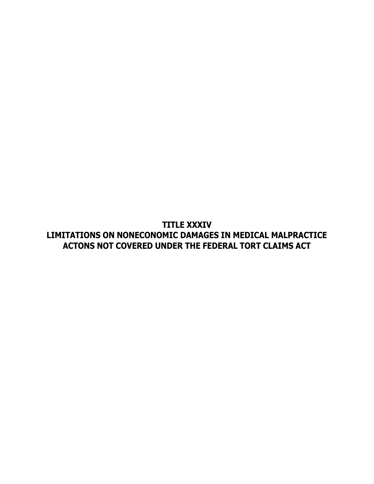**TITLE XXXIV LIMITATIONS ON NONECONOMIC DAMAGES IN MEDICAL MALPRACTICE ACTONS NOT COVERED UNDER THE FEDERAL TORT CLAIMS ACT**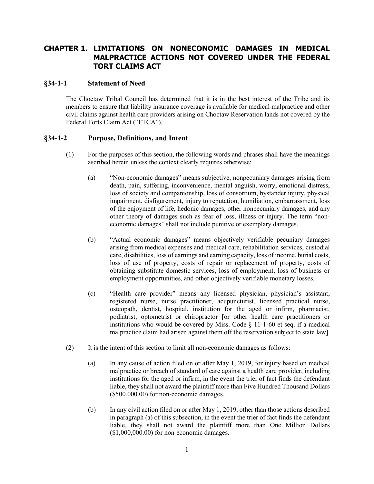## **CHAPTER 1. LIMITATIONS ON NONECONOMIC DAMAGES IN MEDICAL MALPRACTICE ACTIONS NOT COVERED UNDER THE FEDERAL TORT CLAIMS ACT**

## **§34-1-1 Statement of Need**

The Choctaw Tribal Council has determined that it is in the best interest of the Tribe and its members to ensure that liability insurance coverage is available for medical malpractice and other civil claims against health care providers arising on Choctaw Reservation lands not covered by the Federal Torts Claim Act ("FTCA").

## **§34-1-2 Purpose, Definitions, and Intent**

- (1) For the purposes of this section, the following words and phrases shall have the meanings ascribed herein unless the context clearly requires otherwise:
	- (a) "Non-economic damages" means subjective, nonpecuniary damages arising from death, pain, suffering, inconvenience, mental anguish, worry, emotional distress, loss of society and companionship, loss of consortium, bystander injury, physical impairment, disfigurement, injury to reputation, humiliation, embarrassment, loss of the enjoyment of life, hedonic damages, other nonpecuniary damages, and any other theory of damages such as fear of loss, illness or injury. The term "noneconomic damages" shall not include punitive or exemplary damages.
	- (b) "Actual economic damages" means objectively verifiable pecuniary damages arising from medical expenses and medical care, rehabilitation services, custodial care, disabilities, loss of earnings and earning capacity, loss of income, burial costs, loss of use of property, costs of repair or replacement of property, costs of obtaining substitute domestic services, loss of employment, loss of business or employment opportunities, and other objectively verifiable monetary losses.
	- (c) "Health care provider" means any licensed physician, physician's assistant, registered nurse, nurse practitioner, acupuncturist, licensed practical nurse, osteopath, dentist, hospital, institution for the aged or infirm, pharmacist, podiatrist, optometrist or chiropractor [or other health care practitioners or institutions who would be covered by Miss. Code  $\S$  11-1-60 et seq. if a medical malpractice claim had arisen against them off the reservation subject to state law].
- (2) It is the intent of this section to limit all non-economic damages as follows:
	- (a) In any cause of action filed on or after May 1, 2019, for injury based on medical malpractice or breach of standard of care against a health care provider, including institutions for the aged or infirm, in the event the trier of fact finds the defendant liable, they shall not award the plaintiff more than Five Hundred Thousand Dollars (\$500,000.00) for non-economic damages.
	- (b) In any civil action filed on or after May 1, 2019, other than those actions described in paragraph (a) of this subsection, in the event the trier of fact finds the defendant liable, they shall not award the plaintiff more than One Million Dollars (\$1,000,000.00) for non-economic damages.